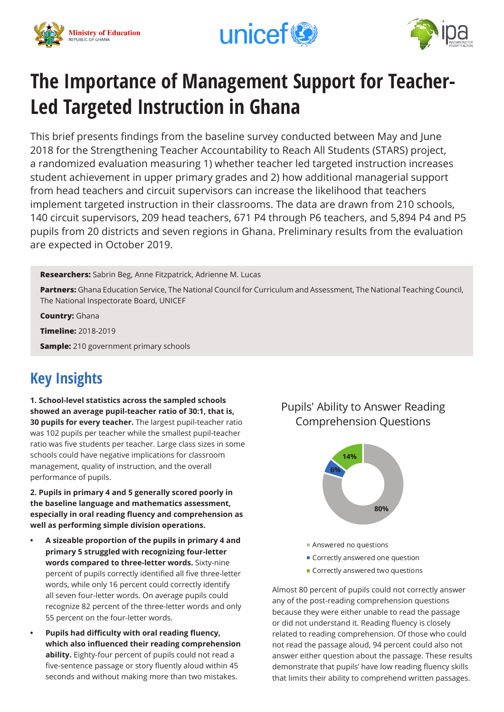





# **The Importance of Management Support for Teacher-Led Targeted Instruction in Ghana**

This brief presents findings from the baseline survey conducted between May and June 2018 for the Strengthening Teacher Accountability to Reach All Students (STARS) project, a randomized evaluation measuring 1) whether teacher led targeted instruction increases student achievement in upper primary grades and 2) how additional managerial support from head teachers and circuit supervisors can increase the likelihood that teachers implement targeted instruction in their classrooms. The data are drawn from 210 schools, 140 circuit supervisors, 209 head teachers, 671 P4 through P6 teachers, and 5,894 P4 and P5 pupils from 20 districts and seven regions in Ghana. Preliminary results from the evaluation are expected in October 2019.

**Researchers:** Sabrin Beg, Anne Fitzpatrick, Adrienne M. Lucas

**Partners:** Ghana Education Service, The National Council for Curriculum and Assessment, The National Teaching Council, The National Inspectorate Board, UNICEF

**Country:** Ghana

**Timeline:** 2018-2019

**Sample:** 210 government primary schools

## **Key Insights**

**1. School-level statistics across the sampled schools showed an average pupil-teacher ratio of 30:1, that is, 30 pupils for every teacher.** The largest pupil-teacher ratio was 102 pupils per teacher while the smallest pupil-teacher ratio was five students per teacher. Large class sizes in some schools could have negative implications for classroom management, quality of instruction, and the overall performance of pupils.

**2. Pupils in primary 4 and 5 generally scored poorly in the baseline language and mathematics assessment, especially in oral reading fluency and comprehension as well as performing simple division operations.** 

- **• A sizeable proportion of the pupils in primary 4 and primary 5 struggled with recognizing four-letter words compared to three-letter words.** Sixty-nine percent of pupils correctly identified all five three-letter words, while only 16 percent could correctly identify all seven four-letter words. On average pupils could recognize 82 percent of the three-letter words and only 55 percent on the four-letter words.
- **• Pupils had difficulty with oral reading fluency, which also influenced their reading comprehension ability.** Eighty-four percent of pupils could not read a five-sentence passage or story fluently aloud within 45 seconds and without making more than two mistakes.

### Pupils' Ability to Answer Reading Comprehension Questions



- Answered no questions
- **Correctly answered one question**
- **Correctly answered two questions**

Almost 80 percent of pupils could not correctly answer any of the post-reading comprehension questions because they were either unable to read the passage or did not understand it. Reading fluency is closely related to reading comprehension. Of those who could not read the passage aloud, 94 percent could also not answer either question about the passage. These results demonstrate that pupils' have low reading fluency skills that limits their ability to comprehend written passages.